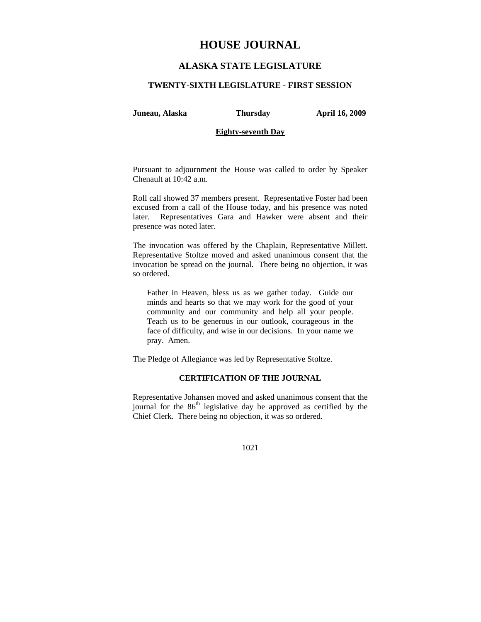## **HOUSE JOURNAL**

## **ALASKA STATE LEGISLATURE**

#### **TWENTY-SIXTH LEGISLATURE - FIRST SESSION**

**Juneau, Alaska Thursday April 16, 2009** 

### **Eighty-seventh Day**

Pursuant to adjournment the House was called to order by Speaker Chenault at 10:42 a.m.

Roll call showed 37 members present. Representative Foster had been excused from a call of the House today, and his presence was noted later. Representatives Gara and Hawker were absent and their presence was noted later.

The invocation was offered by the Chaplain, Representative Millett. Representative Stoltze moved and asked unanimous consent that the invocation be spread on the journal. There being no objection, it was so ordered.

Father in Heaven, bless us as we gather today. Guide our minds and hearts so that we may work for the good of your community and our community and help all your people. Teach us to be generous in our outlook, courageous in the face of difficulty, and wise in our decisions. In your name we pray. Amen.

The Pledge of Allegiance was led by Representative Stoltze.

## **CERTIFICATION OF THE JOURNAL**

Representative Johansen moved and asked unanimous consent that the journal for the  $86<sup>th</sup>$  legislative day be approved as certified by the Chief Clerk. There being no objection, it was so ordered.

1021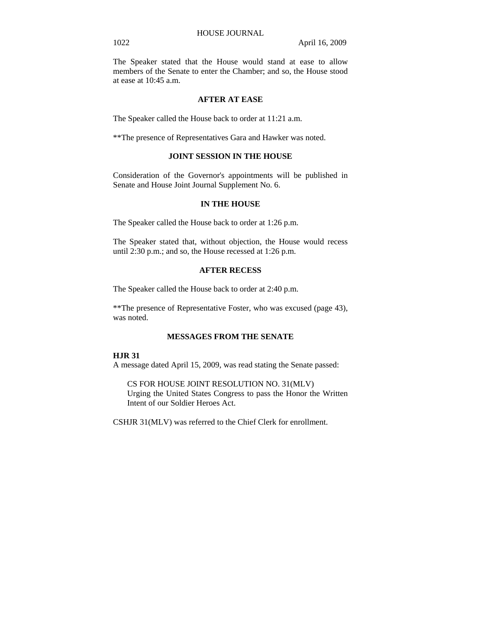The Speaker stated that the House would stand at ease to allow members of the Senate to enter the Chamber; and so, the House stood at ease at 10:45 a.m.

## **AFTER AT EASE**

The Speaker called the House back to order at 11:21 a.m.

\*\*The presence of Representatives Gara and Hawker was noted.

## **JOINT SESSION IN THE HOUSE**

Consideration of the Governor's appointments will be published in Senate and House Joint Journal Supplement No. 6.

## **IN THE HOUSE**

The Speaker called the House back to order at 1:26 p.m.

The Speaker stated that, without objection, the House would recess until 2:30 p.m.; and so, the House recessed at 1:26 p.m.

## **AFTER RECESS**

The Speaker called the House back to order at 2:40 p.m.

\*\*The presence of Representative Foster, who was excused (page 43), was noted.

#### **MESSAGES FROM THE SENATE**

#### **HJR 31**

A message dated April 15, 2009, was read stating the Senate passed:

CS FOR HOUSE JOINT RESOLUTION NO. 31(MLV) Urging the United States Congress to pass the Honor the Written Intent of our Soldier Heroes Act.

CSHJR 31(MLV) was referred to the Chief Clerk for enrollment.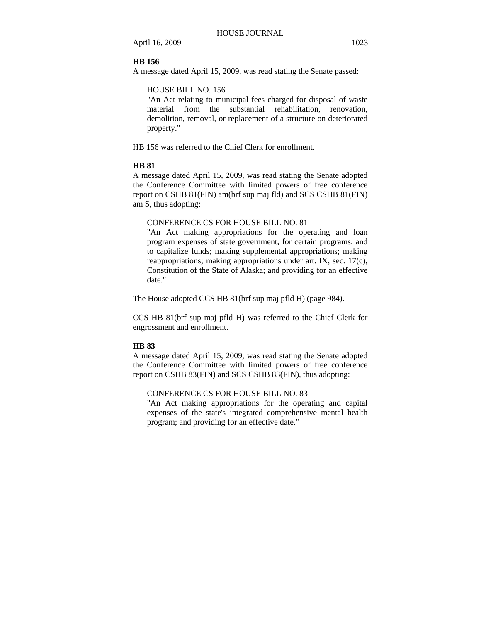#### **HB 156**

A message dated April 15, 2009, was read stating the Senate passed:

## HOUSE BILL NO. 156

"An Act relating to municipal fees charged for disposal of waste material from the substantial rehabilitation, renovation, demolition, removal, or replacement of a structure on deteriorated property."

HB 156 was referred to the Chief Clerk for enrollment.

#### **HB 81**

A message dated April 15, 2009, was read stating the Senate adopted the Conference Committee with limited powers of free conference report on CSHB 81(FIN) am(brf sup maj fld) and SCS CSHB 81(FIN) am S, thus adopting:

## CONFERENCE CS FOR HOUSE BILL NO. 81

"An Act making appropriations for the operating and loan program expenses of state government, for certain programs, and to capitalize funds; making supplemental appropriations; making reappropriations; making appropriations under art. IX, sec. 17(c), Constitution of the State of Alaska; and providing for an effective date."

The House adopted CCS HB 81(brf sup maj pfld H) (page 984).

CCS HB 81(brf sup maj pfld H) was referred to the Chief Clerk for engrossment and enrollment.

#### **HB 83**

A message dated April 15, 2009, was read stating the Senate adopted the Conference Committee with limited powers of free conference report on CSHB 83(FIN) and SCS CSHB 83(FIN), thus adopting:

#### CONFERENCE CS FOR HOUSE BILL NO. 83

"An Act making appropriations for the operating and capital expenses of the state's integrated comprehensive mental health program; and providing for an effective date."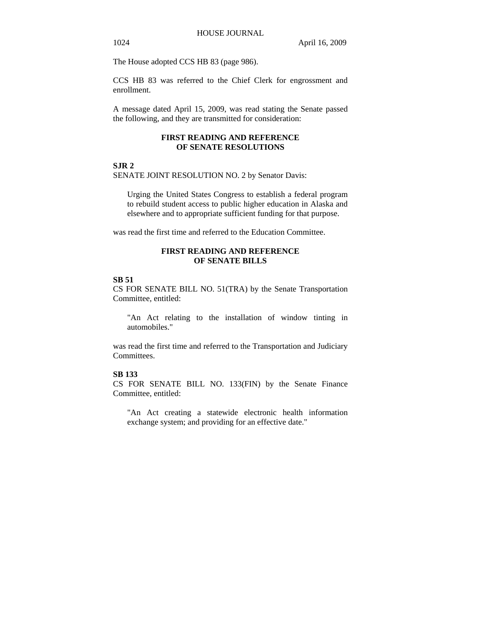The House adopted CCS HB 83 (page 986).

CCS HB 83 was referred to the Chief Clerk for engrossment and enrollment.

A message dated April 15, 2009, was read stating the Senate passed the following, and they are transmitted for consideration:

#### **FIRST READING AND REFERENCE OF SENATE RESOLUTIONS**

#### **SJR 2**

SENATE JOINT RESOLUTION NO. 2 by Senator Davis:

Urging the United States Congress to establish a federal program to rebuild student access to public higher education in Alaska and elsewhere and to appropriate sufficient funding for that purpose.

was read the first time and referred to the Education Committee.

#### **FIRST READING AND REFERENCE OF SENATE BILLS**

#### **SB 51**

CS FOR SENATE BILL NO. 51(TRA) by the Senate Transportation Committee, entitled:

"An Act relating to the installation of window tinting in automobiles."

was read the first time and referred to the Transportation and Judiciary Committees.

#### **SB 133**

CS FOR SENATE BILL NO. 133(FIN) by the Senate Finance Committee, entitled:

"An Act creating a statewide electronic health information exchange system; and providing for an effective date."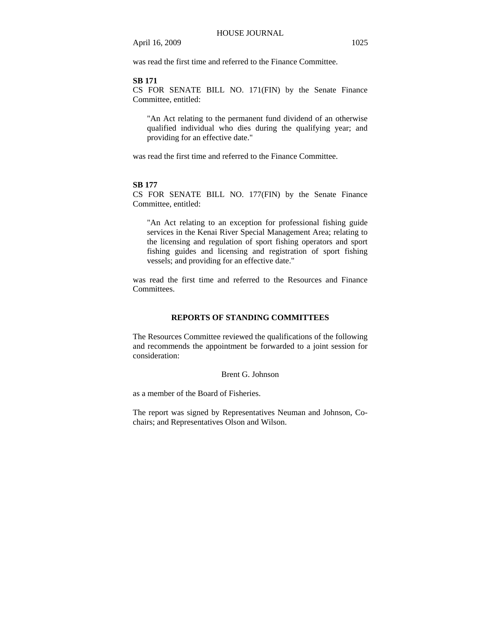was read the first time and referred to the Finance Committee.

#### **SB 171**

CS FOR SENATE BILL NO. 171(FIN) by the Senate Finance Committee, entitled:

"An Act relating to the permanent fund dividend of an otherwise qualified individual who dies during the qualifying year; and providing for an effective date."

was read the first time and referred to the Finance Committee.

#### **SB 177**

CS FOR SENATE BILL NO. 177(FIN) by the Senate Finance Committee, entitled:

"An Act relating to an exception for professional fishing guide services in the Kenai River Special Management Area; relating to the licensing and regulation of sport fishing operators and sport fishing guides and licensing and registration of sport fishing vessels; and providing for an effective date."

was read the first time and referred to the Resources and Finance Committees.

### **REPORTS OF STANDING COMMITTEES**

The Resources Committee reviewed the qualifications of the following and recommends the appointment be forwarded to a joint session for consideration:

Brent G. Johnson

as a member of the Board of Fisheries.

The report was signed by Representatives Neuman and Johnson, Cochairs; and Representatives Olson and Wilson.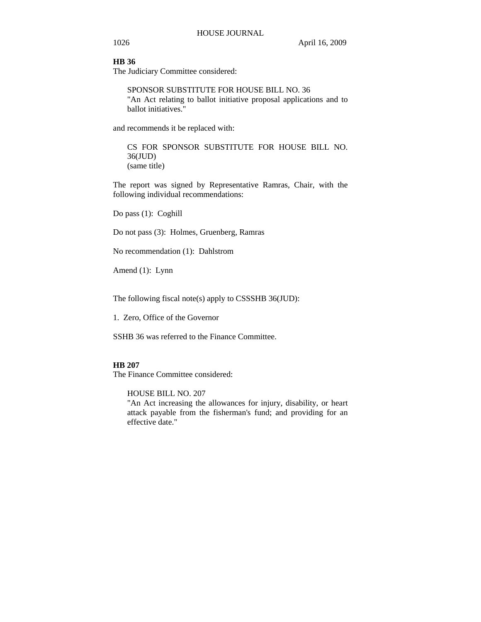#### **HB 36**

The Judiciary Committee considered:

SPONSOR SUBSTITUTE FOR HOUSE BILL NO. 36 "An Act relating to ballot initiative proposal applications and to ballot initiatives."

and recommends it be replaced with:

CS FOR SPONSOR SUBSTITUTE FOR HOUSE BILL NO. 36(JUD) (same title)

The report was signed by Representative Ramras, Chair, with the following individual recommendations:

Do pass (1): Coghill

Do not pass (3): Holmes, Gruenberg, Ramras

No recommendation (1): Dahlstrom

Amend (1): Lynn

The following fiscal note(s) apply to CSSSHB 36(JUD):

1. Zero, Office of the Governor

SSHB 36 was referred to the Finance Committee.

## **HB 207**

The Finance Committee considered:

HOUSE BILL NO. 207

"An Act increasing the allowances for injury, disability, or heart attack payable from the fisherman's fund; and providing for an effective date."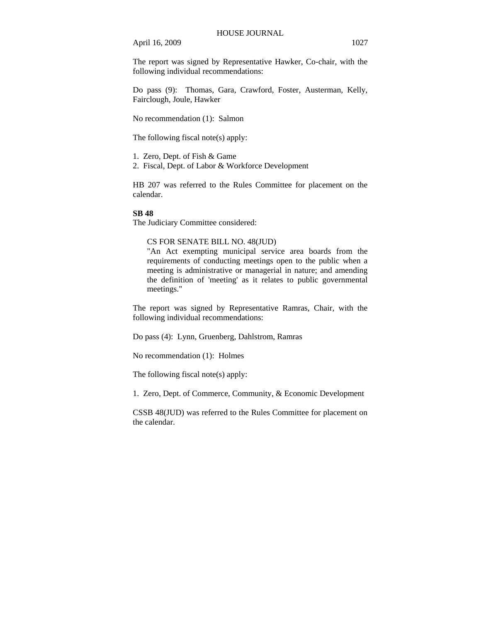The report was signed by Representative Hawker, Co-chair, with the following individual recommendations:

Do pass (9): Thomas, Gara, Crawford, Foster, Austerman, Kelly, Fairclough, Joule, Hawker

No recommendation (1): Salmon

The following fiscal note(s) apply:

1. Zero, Dept. of Fish & Game

2. Fiscal, Dept. of Labor & Workforce Development

HB 207 was referred to the Rules Committee for placement on the calendar.

#### **SB 48**

The Judiciary Committee considered:

## CS FOR SENATE BILL NO. 48(JUD)

"An Act exempting municipal service area boards from the requirements of conducting meetings open to the public when a meeting is administrative or managerial in nature; and amending the definition of 'meeting' as it relates to public governmental meetings."

The report was signed by Representative Ramras, Chair, with the following individual recommendations:

Do pass (4): Lynn, Gruenberg, Dahlstrom, Ramras

No recommendation (1): Holmes

The following fiscal note(s) apply:

1. Zero, Dept. of Commerce, Community, & Economic Development

CSSB 48(JUD) was referred to the Rules Committee for placement on the calendar.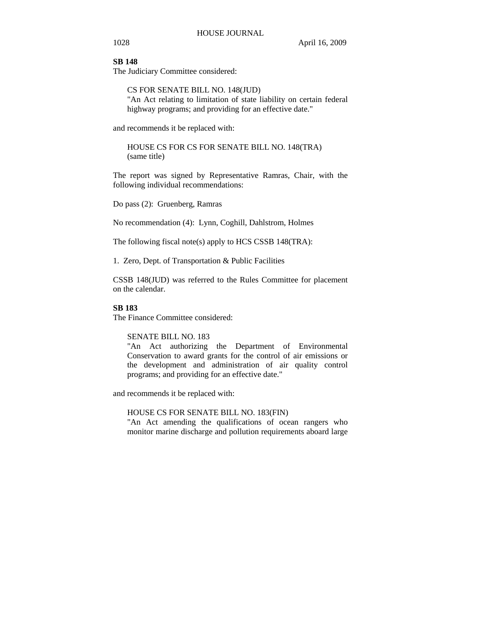#### **SB 148**

The Judiciary Committee considered:

CS FOR SENATE BILL NO. 148(JUD) "An Act relating to limitation of state liability on certain federal highway programs; and providing for an effective date."

and recommends it be replaced with:

HOUSE CS FOR CS FOR SENATE BILL NO. 148(TRA) (same title)

The report was signed by Representative Ramras, Chair, with the following individual recommendations:

Do pass (2): Gruenberg, Ramras

No recommendation (4): Lynn, Coghill, Dahlstrom, Holmes

The following fiscal note(s) apply to HCS CSSB 148(TRA):

1. Zero, Dept. of Transportation & Public Facilities

CSSB 148(JUD) was referred to the Rules Committee for placement on the calendar.

## **SB 183**

The Finance Committee considered:

## SENATE BILL NO. 183

"An Act authorizing the Department of Environmental Conservation to award grants for the control of air emissions or the development and administration of air quality control programs; and providing for an effective date."

and recommends it be replaced with:

#### HOUSE CS FOR SENATE BILL NO. 183(FIN)

"An Act amending the qualifications of ocean rangers who monitor marine discharge and pollution requirements aboard large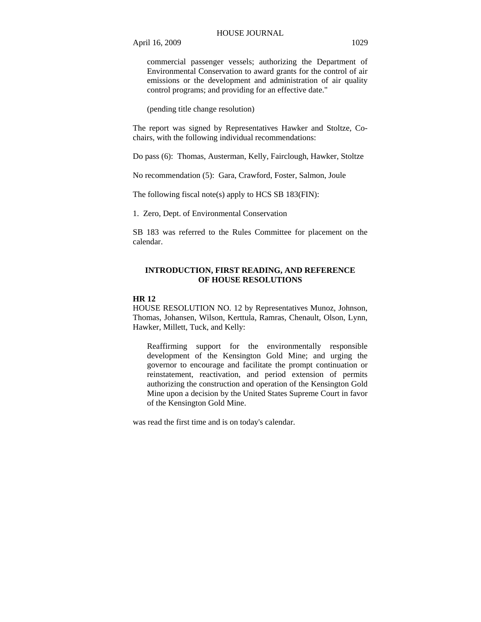commercial passenger vessels; authorizing the Department of Environmental Conservation to award grants for the control of air emissions or the development and administration of air quality control programs; and providing for an effective date."

(pending title change resolution)

The report was signed by Representatives Hawker and Stoltze, Cochairs, with the following individual recommendations:

Do pass (6): Thomas, Austerman, Kelly, Fairclough, Hawker, Stoltze

No recommendation (5): Gara, Crawford, Foster, Salmon, Joule

The following fiscal note(s) apply to HCS SB 183(FIN):

1. Zero, Dept. of Environmental Conservation

SB 183 was referred to the Rules Committee for placement on the calendar.

#### **INTRODUCTION, FIRST READING, AND REFERENCE OF HOUSE RESOLUTIONS**

#### **HR 12**

HOUSE RESOLUTION NO. 12 by Representatives Munoz, Johnson, Thomas, Johansen, Wilson, Kerttula, Ramras, Chenault, Olson, Lynn, Hawker, Millett, Tuck, and Kelly:

Reaffirming support for the environmentally responsible development of the Kensington Gold Mine; and urging the governor to encourage and facilitate the prompt continuation or reinstatement, reactivation, and period extension of permits authorizing the construction and operation of the Kensington Gold Mine upon a decision by the United States Supreme Court in favor of the Kensington Gold Mine.

was read the first time and is on today's calendar.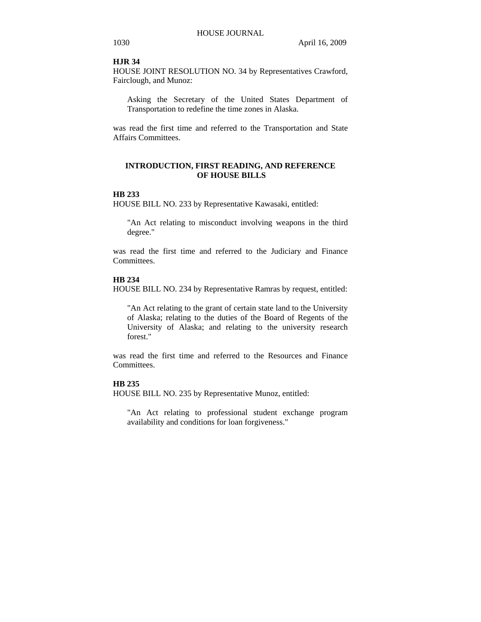#### **HJR 34**

HOUSE JOINT RESOLUTION NO. 34 by Representatives Crawford, Fairclough, and Munoz:

Asking the Secretary of the United States Department of Transportation to redefine the time zones in Alaska.

was read the first time and referred to the Transportation and State Affairs Committees.

## **INTRODUCTION, FIRST READING, AND REFERENCE OF HOUSE BILLS**

## **HB 233**

HOUSE BILL NO. 233 by Representative Kawasaki, entitled:

"An Act relating to misconduct involving weapons in the third degree."

was read the first time and referred to the Judiciary and Finance Committees.

#### **HB 234**

HOUSE BILL NO. 234 by Representative Ramras by request, entitled:

"An Act relating to the grant of certain state land to the University of Alaska; relating to the duties of the Board of Regents of the University of Alaska; and relating to the university research forest."

was read the first time and referred to the Resources and Finance Committees.

## **HB 235**

HOUSE BILL NO. 235 by Representative Munoz, entitled:

"An Act relating to professional student exchange program availability and conditions for loan forgiveness."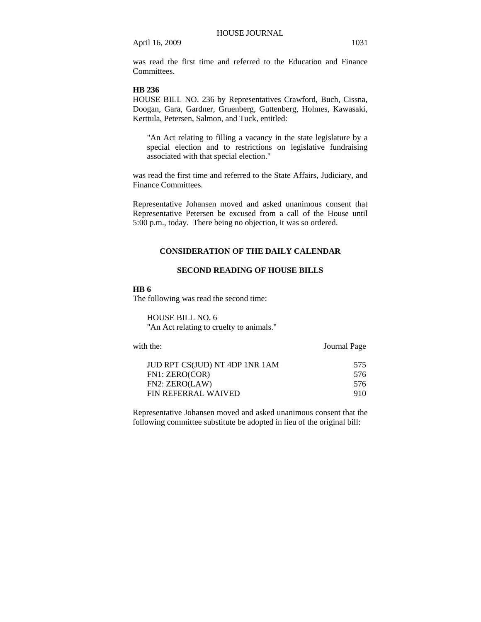was read the first time and referred to the Education and Finance **Committees** 

#### **HB 236**

HOUSE BILL NO. 236 by Representatives Crawford, Buch, Cissna, Doogan, Gara, Gardner, Gruenberg, Guttenberg, Holmes, Kawasaki, Kerttula, Petersen, Salmon, and Tuck, entitled:

"An Act relating to filling a vacancy in the state legislature by a special election and to restrictions on legislative fundraising associated with that special election."

was read the first time and referred to the State Affairs, Judiciary, and Finance Committees.

Representative Johansen moved and asked unanimous consent that Representative Petersen be excused from a call of the House until 5:00 p.m., today. There being no objection, it was so ordered.

## **CONSIDERATION OF THE DAILY CALENDAR**

## **SECOND READING OF HOUSE BILLS**

## **HB 6**

The following was read the second time:

HOUSE BILL NO. 6 "An Act relating to cruelty to animals."

with the: **Journal Page** JUD RPT CS(JUD) NT 4DP 1NR 1AM 575<br>FN1: ZERO(COR) 576 FN1: ZERO(COR) FN2: ZERO(LAW) 576 FIN REFERRAL WAIVED 910

Representative Johansen moved and asked unanimous consent that the following committee substitute be adopted in lieu of the original bill: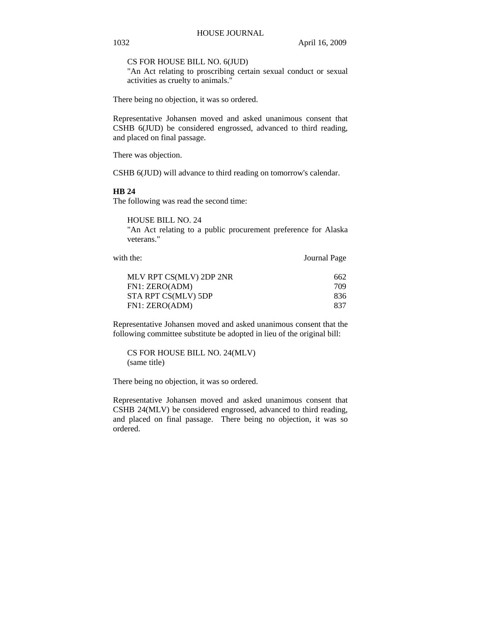CS FOR HOUSE BILL NO. 6(JUD)

"An Act relating to proscribing certain sexual conduct or sexual activities as cruelty to animals."

There being no objection, it was so ordered.

Representative Johansen moved and asked unanimous consent that CSHB 6(JUD) be considered engrossed, advanced to third reading, and placed on final passage.

There was objection.

CSHB 6(JUD) will advance to third reading on tomorrow's calendar.

#### **HB 24**

The following was read the second time:

HOUSE BILL NO. 24 "An Act relating to a public procurement preference for Alaska veterans."

with the: **Journal Page** 

| MLV RPT CS(MLV) 2DP 2NR | 662 |
|-------------------------|-----|
| FN1: ZERO(ADM)          | 709 |
| STA RPT CS(MLV) 5DP     | 836 |
| FN1: ZERO(ADM)          | 837 |

Representative Johansen moved and asked unanimous consent that the following committee substitute be adopted in lieu of the original bill:

CS FOR HOUSE BILL NO. 24(MLV) (same title)

There being no objection, it was so ordered.

Representative Johansen moved and asked unanimous consent that CSHB 24(MLV) be considered engrossed, advanced to third reading, and placed on final passage. There being no objection, it was so ordered.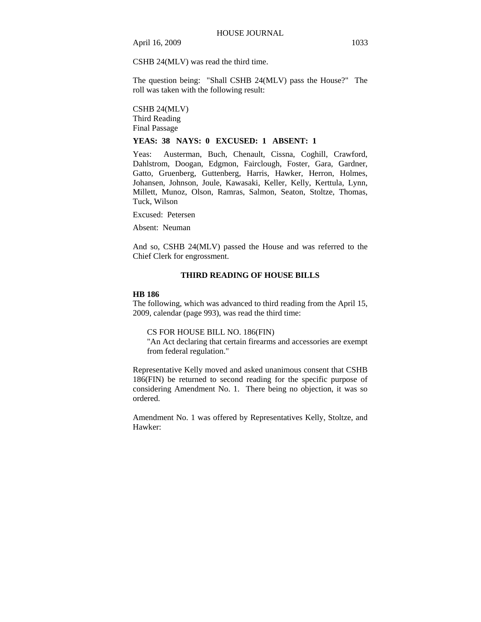CSHB 24(MLV) was read the third time.

The question being: "Shall CSHB 24(MLV) pass the House?" The roll was taken with the following result:

CSHB 24(MLV) Third Reading Final Passage

## **YEAS: 38 NAYS: 0 EXCUSED: 1 ABSENT: 1**

Yeas: Austerman, Buch, Chenault, Cissna, Coghill, Crawford, Dahlstrom, Doogan, Edgmon, Fairclough, Foster, Gara, Gardner, Gatto, Gruenberg, Guttenberg, Harris, Hawker, Herron, Holmes, Johansen, Johnson, Joule, Kawasaki, Keller, Kelly, Kerttula, Lynn, Millett, Munoz, Olson, Ramras, Salmon, Seaton, Stoltze, Thomas, Tuck, Wilson

Excused: Petersen

Absent: Neuman

And so, CSHB 24(MLV) passed the House and was referred to the Chief Clerk for engrossment.

#### **THIRD READING OF HOUSE BILLS**

#### **HB 186**

The following, which was advanced to third reading from the April 15, 2009, calendar (page 993), was read the third time:

#### CS FOR HOUSE BILL NO. 186(FIN)

"An Act declaring that certain firearms and accessories are exempt from federal regulation."

Representative Kelly moved and asked unanimous consent that CSHB 186(FIN) be returned to second reading for the specific purpose of considering Amendment No. 1. There being no objection, it was so ordered.

Amendment No. 1 was offered by Representatives Kelly, Stoltze, and Hawker: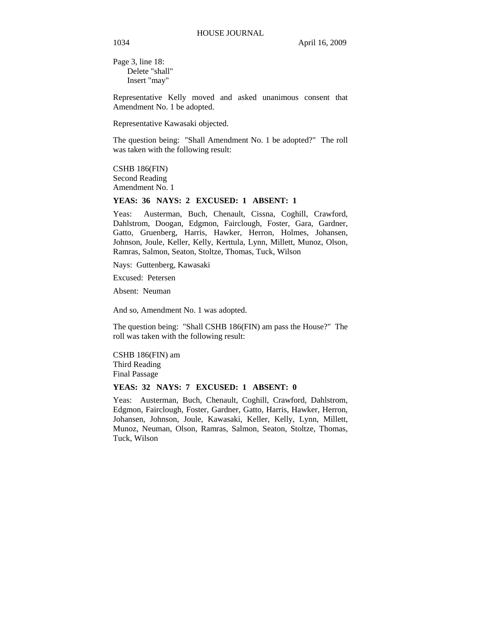Page 3, line 18: Delete "shall" Insert "may"

Representative Kelly moved and asked unanimous consent that Amendment No. 1 be adopted.

Representative Kawasaki objected.

The question being: "Shall Amendment No. 1 be adopted?" The roll was taken with the following result:

CSHB 186(FIN) Second Reading Amendment No. 1

#### **YEAS: 36 NAYS: 2 EXCUSED: 1 ABSENT: 1**

Yeas: Austerman, Buch, Chenault, Cissna, Coghill, Crawford, Dahlstrom, Doogan, Edgmon, Fairclough, Foster, Gara, Gardner, Gatto, Gruenberg, Harris, Hawker, Herron, Holmes, Johansen, Johnson, Joule, Keller, Kelly, Kerttula, Lynn, Millett, Munoz, Olson, Ramras, Salmon, Seaton, Stoltze, Thomas, Tuck, Wilson

Nays: Guttenberg, Kawasaki

Excused: Petersen

Absent: Neuman

And so, Amendment No. 1 was adopted.

The question being: "Shall CSHB 186(FIN) am pass the House?" The roll was taken with the following result:

CSHB 186(FIN) am Third Reading Final Passage

## **YEAS: 32 NAYS: 7 EXCUSED: 1 ABSENT: 0**

Yeas: Austerman, Buch, Chenault, Coghill, Crawford, Dahlstrom, Edgmon, Fairclough, Foster, Gardner, Gatto, Harris, Hawker, Herron, Johansen, Johnson, Joule, Kawasaki, Keller, Kelly, Lynn, Millett, Munoz, Neuman, Olson, Ramras, Salmon, Seaton, Stoltze, Thomas, Tuck, Wilson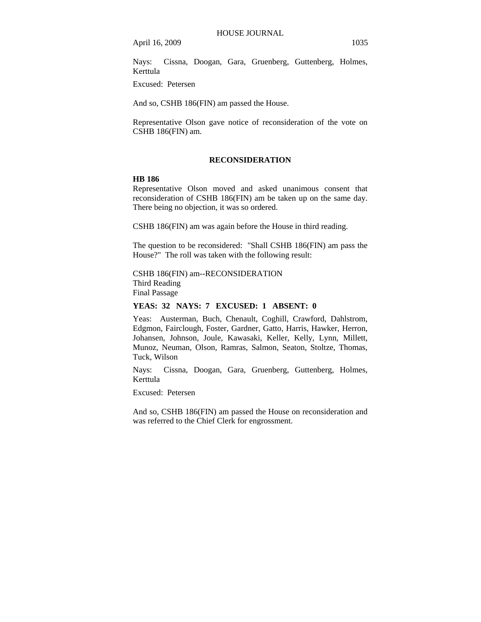Nays: Cissna, Doogan, Gara, Gruenberg, Guttenberg, Holmes, Kerttula

Excused: Petersen

And so, CSHB 186(FIN) am passed the House.

Representative Olson gave notice of reconsideration of the vote on CSHB 186(FIN) am.

#### **RECONSIDERATION**

#### **HB 186**

Representative Olson moved and asked unanimous consent that reconsideration of CSHB 186(FIN) am be taken up on the same day. There being no objection, it was so ordered.

CSHB 186(FIN) am was again before the House in third reading.

The question to be reconsidered: "Shall CSHB 186(FIN) am pass the House?" The roll was taken with the following result:

## CSHB 186(FIN) am--RECONSIDERATION Third Reading Final Passage

**YEAS: 32 NAYS: 7 EXCUSED: 1 ABSENT: 0** 

Yeas: Austerman, Buch, Chenault, Coghill, Crawford, Dahlstrom, Edgmon, Fairclough, Foster, Gardner, Gatto, Harris, Hawker, Herron, Johansen, Johnson, Joule, Kawasaki, Keller, Kelly, Lynn, Millett, Munoz, Neuman, Olson, Ramras, Salmon, Seaton, Stoltze, Thomas, Tuck, Wilson

Nays: Cissna, Doogan, Gara, Gruenberg, Guttenberg, Holmes, Kerttula

Excused: Petersen

And so, CSHB 186(FIN) am passed the House on reconsideration and was referred to the Chief Clerk for engrossment.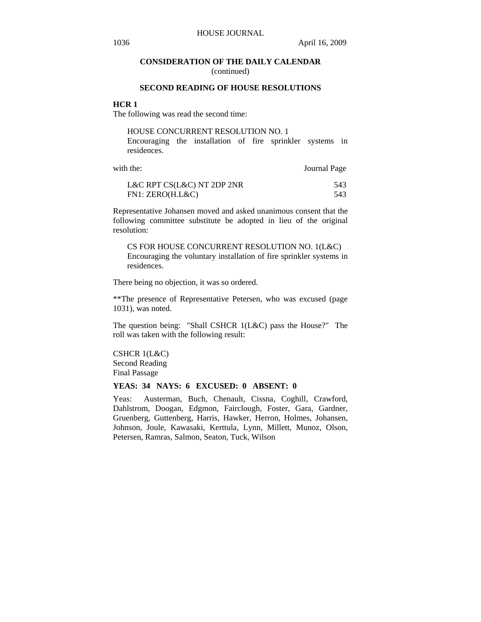## **CONSIDERATION OF THE DAILY CALENDAR**

(continued)

## **SECOND READING OF HOUSE RESOLUTIONS**

## **HCR 1**

The following was read the second time:

| HOUSE CONCURRENT RESOLUTION NO. 1                         |  |  |  |  |  |  |
|-----------------------------------------------------------|--|--|--|--|--|--|
| Encouraging the installation of fire sprinkler systems in |  |  |  |  |  |  |
| residences.                                               |  |  |  |  |  |  |

| with the:                  | Journal Page |
|----------------------------|--------------|
| L&C RPT CS(L&C) NT 2DP 2NR | 543          |
| FN1: ZERO(H.L&C)           | 543.         |

Representative Johansen moved and asked unanimous consent that the following committee substitute be adopted in lieu of the original resolution:

CS FOR HOUSE CONCURRENT RESOLUTION NO. 1(L&C) Encouraging the voluntary installation of fire sprinkler systems in residences.

There being no objection, it was so ordered.

\*\*The presence of Representative Petersen, who was excused (page 1031), was noted.

The question being: "Shall CSHCR 1(L&C) pass the House?" The roll was taken with the following result:

CSHCR 1(L&C) Second Reading Final Passage

#### **YEAS: 34 NAYS: 6 EXCUSED: 0 ABSENT: 0**

Yeas: Austerman, Buch, Chenault, Cissna, Coghill, Crawford, Dahlstrom, Doogan, Edgmon, Fairclough, Foster, Gara, Gardner, Gruenberg, Guttenberg, Harris, Hawker, Herron, Holmes, Johansen, Johnson, Joule, Kawasaki, Kerttula, Lynn, Millett, Munoz, Olson, Petersen, Ramras, Salmon, Seaton, Tuck, Wilson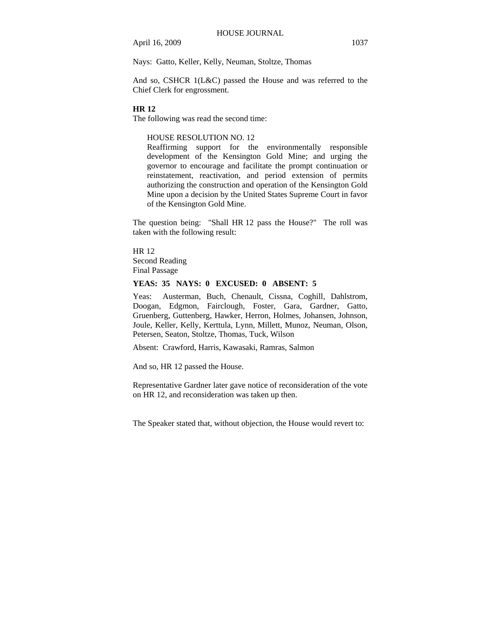Nays: Gatto, Keller, Kelly, Neuman, Stoltze, Thomas

And so, CSHCR 1(L&C) passed the House and was referred to the Chief Clerk for engrossment.

#### **HR 12**

The following was read the second time:

#### HOUSE RESOLUTION NO. 12

Reaffirming support for the environmentally responsible development of the Kensington Gold Mine; and urging the governor to encourage and facilitate the prompt continuation or reinstatement, reactivation, and period extension of permits authorizing the construction and operation of the Kensington Gold Mine upon a decision by the United States Supreme Court in favor of the Kensington Gold Mine.

The question being: "Shall HR 12 pass the House?" The roll was taken with the following result:

HR 12 Second Reading Final Passage

## **YEAS: 35 NAYS: 0 EXCUSED: 0 ABSENT: 5**

Yeas: Austerman, Buch, Chenault, Cissna, Coghill, Dahlstrom, Doogan, Edgmon, Fairclough, Foster, Gara, Gardner, Gatto, Gruenberg, Guttenberg, Hawker, Herron, Holmes, Johansen, Johnson, Joule, Keller, Kelly, Kerttula, Lynn, Millett, Munoz, Neuman, Olson, Petersen, Seaton, Stoltze, Thomas, Tuck, Wilson

Absent: Crawford, Harris, Kawasaki, Ramras, Salmon

And so, HR 12 passed the House.

Representative Gardner later gave notice of reconsideration of the vote on HR 12, and reconsideration was taken up then.

The Speaker stated that, without objection, the House would revert to: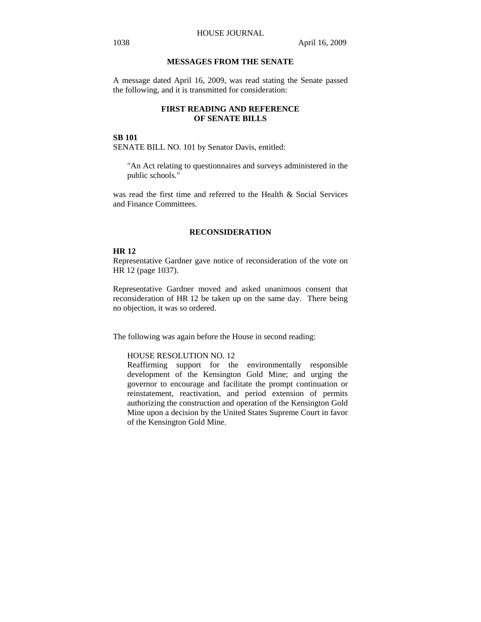## **MESSAGES FROM THE SENATE**

A message dated April 16, 2009, was read stating the Senate passed the following, and it is transmitted for consideration:

## **FIRST READING AND REFERENCE OF SENATE BILLS**

#### **SB 101**

SENATE BILL NO. 101 by Senator Davis, entitled:

"An Act relating to questionnaires and surveys administered in the public schools."

was read the first time and referred to the Health & Social Services and Finance Committees.

#### **RECONSIDERATION**

#### **HR 12**

Representative Gardner gave notice of reconsideration of the vote on HR 12 (page 1037).

Representative Gardner moved and asked unanimous consent that reconsideration of HR 12 be taken up on the same day. There being no objection, it was so ordered.

The following was again before the House in second reading:

#### HOUSE RESOLUTION NO. 12

Reaffirming support for the environmentally responsible development of the Kensington Gold Mine; and urging the governor to encourage and facilitate the prompt continuation or reinstatement, reactivation, and period extension of permits authorizing the construction and operation of the Kensington Gold Mine upon a decision by the United States Supreme Court in favor of the Kensington Gold Mine.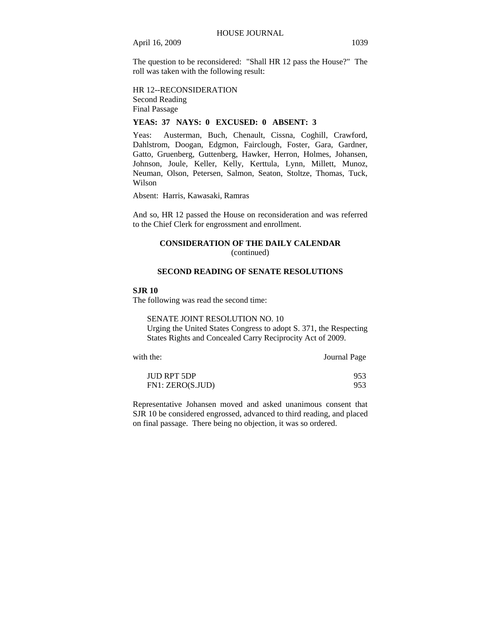The question to be reconsidered: "Shall HR 12 pass the House?" The roll was taken with the following result:

HR 12--RECONSIDERATION Second Reading Final Passage

## **YEAS: 37 NAYS: 0 EXCUSED: 0 ABSENT: 3**

Yeas: Austerman, Buch, Chenault, Cissna, Coghill, Crawford, Dahlstrom, Doogan, Edgmon, Fairclough, Foster, Gara, Gardner, Gatto, Gruenberg, Guttenberg, Hawker, Herron, Holmes, Johansen, Johnson, Joule, Keller, Kelly, Kerttula, Lynn, Millett, Munoz, Neuman, Olson, Petersen, Salmon, Seaton, Stoltze, Thomas, Tuck, Wilson

Absent: Harris, Kawasaki, Ramras

And so, HR 12 passed the House on reconsideration and was referred to the Chief Clerk for engrossment and enrollment.

# **CONSIDERATION OF THE DAILY CALENDAR**

(continued)

## **SECOND READING OF SENATE RESOLUTIONS**

#### **SJR 10**

The following was read the second time:

SENATE JOINT RESOLUTION NO. 10 Urging the United States Congress to adopt S. 371, the Respecting States Rights and Concealed Carry Reciprocity Act of 2009.

with the: **Journal Page** 

| <b>JUD RPT 5DP</b> | 953 |
|--------------------|-----|
| FN1: ZERO(S.JUD)   | 953 |

Representative Johansen moved and asked unanimous consent that SJR 10 be considered engrossed, advanced to third reading, and placed on final passage. There being no objection, it was so ordered.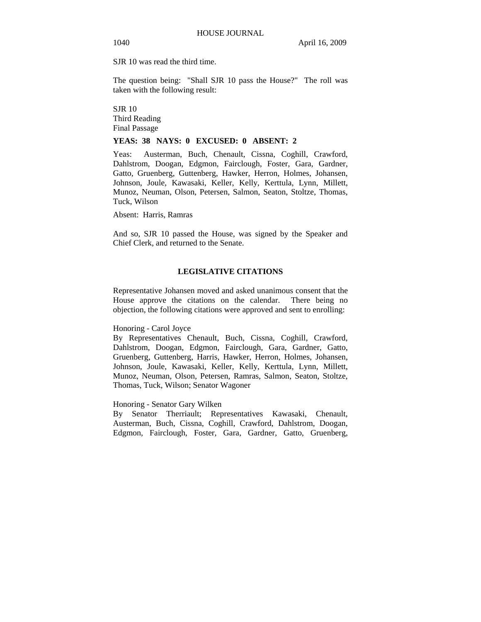SJR 10 was read the third time.

The question being: "Shall SJR 10 pass the House?" The roll was taken with the following result:

SJR 10 Third Reading Final Passage

#### **YEAS: 38 NAYS: 0 EXCUSED: 0 ABSENT: 2**

Yeas: Austerman, Buch, Chenault, Cissna, Coghill, Crawford, Dahlstrom, Doogan, Edgmon, Fairclough, Foster, Gara, Gardner, Gatto, Gruenberg, Guttenberg, Hawker, Herron, Holmes, Johansen, Johnson, Joule, Kawasaki, Keller, Kelly, Kerttula, Lynn, Millett, Munoz, Neuman, Olson, Petersen, Salmon, Seaton, Stoltze, Thomas, Tuck, Wilson

Absent: Harris, Ramras

And so, SJR 10 passed the House, was signed by the Speaker and Chief Clerk, and returned to the Senate.

#### **LEGISLATIVE CITATIONS**

Representative Johansen moved and asked unanimous consent that the House approve the citations on the calendar. There being no objection, the following citations were approved and sent to enrolling:

Honoring - Carol Joyce

By Representatives Chenault, Buch, Cissna, Coghill, Crawford, Dahlstrom, Doogan, Edgmon, Fairclough, Gara, Gardner, Gatto, Gruenberg, Guttenberg, Harris, Hawker, Herron, Holmes, Johansen, Johnson, Joule, Kawasaki, Keller, Kelly, Kerttula, Lynn, Millett, Munoz, Neuman, Olson, Petersen, Ramras, Salmon, Seaton, Stoltze, Thomas, Tuck, Wilson; Senator Wagoner

#### Honoring - Senator Gary Wilken

By Senator Therriault; Representatives Kawasaki, Chenault, Austerman, Buch, Cissna, Coghill, Crawford, Dahlstrom, Doogan, Edgmon, Fairclough, Foster, Gara, Gardner, Gatto, Gruenberg,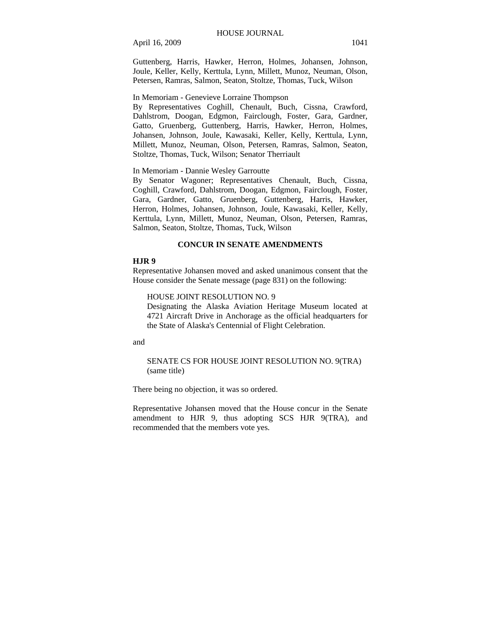Guttenberg, Harris, Hawker, Herron, Holmes, Johansen, Johnson, Joule, Keller, Kelly, Kerttula, Lynn, Millett, Munoz, Neuman, Olson, Petersen, Ramras, Salmon, Seaton, Stoltze, Thomas, Tuck, Wilson

#### In Memoriam - Genevieve Lorraine Thompson

By Representatives Coghill, Chenault, Buch, Cissna, Crawford, Dahlstrom, Doogan, Edgmon, Fairclough, Foster, Gara, Gardner, Gatto, Gruenberg, Guttenberg, Harris, Hawker, Herron, Holmes, Johansen, Johnson, Joule, Kawasaki, Keller, Kelly, Kerttula, Lynn, Millett, Munoz, Neuman, Olson, Petersen, Ramras, Salmon, Seaton, Stoltze, Thomas, Tuck, Wilson; Senator Therriault

#### In Memoriam - Dannie Wesley Garroutte

By Senator Wagoner; Representatives Chenault, Buch, Cissna, Coghill, Crawford, Dahlstrom, Doogan, Edgmon, Fairclough, Foster, Gara, Gardner, Gatto, Gruenberg, Guttenberg, Harris, Hawker, Herron, Holmes, Johansen, Johnson, Joule, Kawasaki, Keller, Kelly, Kerttula, Lynn, Millett, Munoz, Neuman, Olson, Petersen, Ramras, Salmon, Seaton, Stoltze, Thomas, Tuck, Wilson

#### **CONCUR IN SENATE AMENDMENTS**

#### **HJR 9**

Representative Johansen moved and asked unanimous consent that the House consider the Senate message (page 831) on the following:

HOUSE JOINT RESOLUTION NO. 9

Designating the Alaska Aviation Heritage Museum located at 4721 Aircraft Drive in Anchorage as the official headquarters for the State of Alaska's Centennial of Flight Celebration.

and

#### SENATE CS FOR HOUSE JOINT RESOLUTION NO. 9(TRA) (same title)

There being no objection, it was so ordered.

Representative Johansen moved that the House concur in the Senate amendment to HJR 9, thus adopting SCS HJR 9(TRA), and recommended that the members vote yes.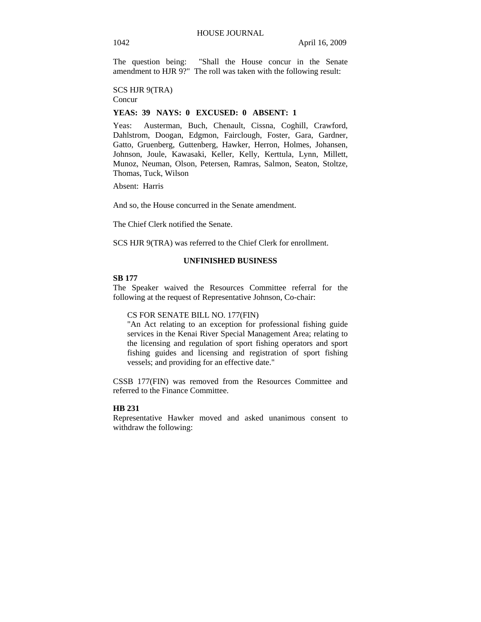The question being: "Shall the House concur in the Senate amendment to HJR 9?" The roll was taken with the following result:

SCS HJR 9(TRA)

Concur

## **YEAS: 39 NAYS: 0 EXCUSED: 0 ABSENT: 1**

Yeas: Austerman, Buch, Chenault, Cissna, Coghill, Crawford, Dahlstrom, Doogan, Edgmon, Fairclough, Foster, Gara, Gardner, Gatto, Gruenberg, Guttenberg, Hawker, Herron, Holmes, Johansen, Johnson, Joule, Kawasaki, Keller, Kelly, Kerttula, Lynn, Millett, Munoz, Neuman, Olson, Petersen, Ramras, Salmon, Seaton, Stoltze, Thomas, Tuck, Wilson

Absent: Harris

And so, the House concurred in the Senate amendment.

The Chief Clerk notified the Senate.

SCS HJR 9(TRA) was referred to the Chief Clerk for enrollment.

## **UNFINISHED BUSINESS**

#### **SB 177**

The Speaker waived the Resources Committee referral for the following at the request of Representative Johnson, Co-chair:

#### CS FOR SENATE BILL NO. 177(FIN)

"An Act relating to an exception for professional fishing guide services in the Kenai River Special Management Area; relating to the licensing and regulation of sport fishing operators and sport fishing guides and licensing and registration of sport fishing vessels; and providing for an effective date."

CSSB 177(FIN) was removed from the Resources Committee and referred to the Finance Committee.

#### **HB 231**

Representative Hawker moved and asked unanimous consent to withdraw the following: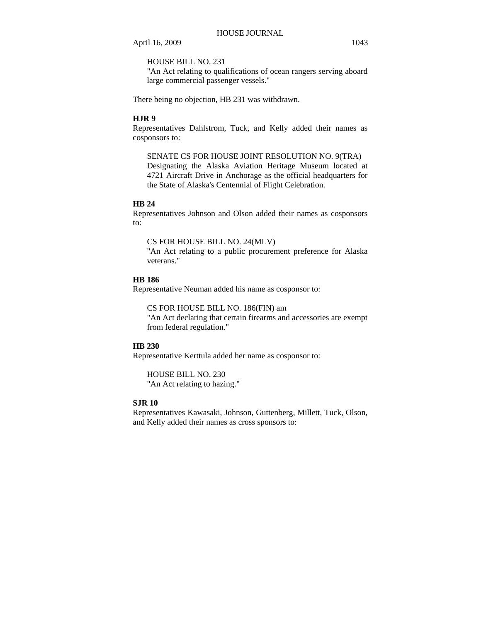## HOUSE BILL NO. 231

"An Act relating to qualifications of ocean rangers serving aboard large commercial passenger vessels."

There being no objection, HB 231 was withdrawn.

#### **HJR 9**

Representatives Dahlstrom, Tuck, and Kelly added their names as cosponsors to:

SENATE CS FOR HOUSE JOINT RESOLUTION NO. 9(TRA) Designating the Alaska Aviation Heritage Museum located at 4721 Aircraft Drive in Anchorage as the official headquarters for the State of Alaska's Centennial of Flight Celebration.

## **HB 24**

Representatives Johnson and Olson added their names as cosponsors to:

## CS FOR HOUSE BILL NO. 24(MLV)

"An Act relating to a public procurement preference for Alaska veterans."

#### **HB 186**

Representative Neuman added his name as cosponsor to:

#### CS FOR HOUSE BILL NO. 186(FIN) am

"An Act declaring that certain firearms and accessories are exempt from federal regulation."

#### **HB 230**

Representative Kerttula added her name as cosponsor to:

HOUSE BILL NO. 230 "An Act relating to hazing."

## **SJR 10**

Representatives Kawasaki, Johnson, Guttenberg, Millett, Tuck, Olson, and Kelly added their names as cross sponsors to: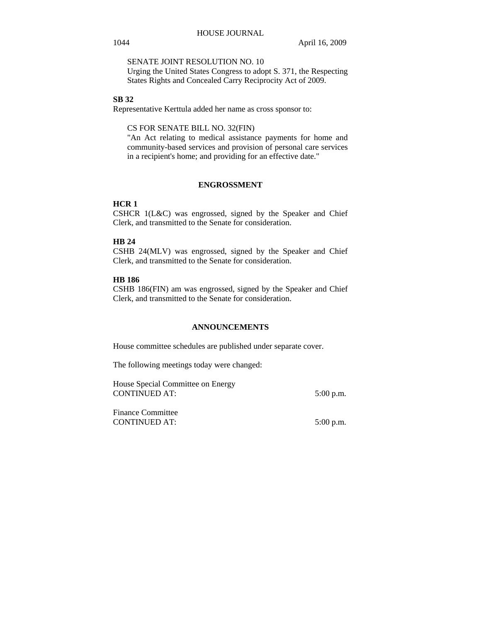SENATE JOINT RESOLUTION NO. 10

Urging the United States Congress to adopt S. 371, the Respecting States Rights and Concealed Carry Reciprocity Act of 2009.

#### **SB 32**

Representative Kerttula added her name as cross sponsor to:

CS FOR SENATE BILL NO. 32(FIN)

"An Act relating to medical assistance payments for home and community-based services and provision of personal care services in a recipient's home; and providing for an effective date."

#### **ENGROSSMENT**

## **HCR 1**

CSHCR 1(L&C) was engrossed, signed by the Speaker and Chief Clerk, and transmitted to the Senate for consideration.

## **HB 24**

CSHB 24(MLV) was engrossed, signed by the Speaker and Chief Clerk, and transmitted to the Senate for consideration.

#### **HB 186**

CSHB 186(FIN) am was engrossed, signed by the Speaker and Chief Clerk, and transmitted to the Senate for consideration.

## **ANNOUNCEMENTS**

House committee schedules are published under separate cover.

The following meetings today were changed:

| House Special Committee on Energy |             |
|-----------------------------------|-------------|
| CONTINUED AT:                     | $5:00$ p.m. |

Finance Committee CONTINUED AT: 5:00 p.m.